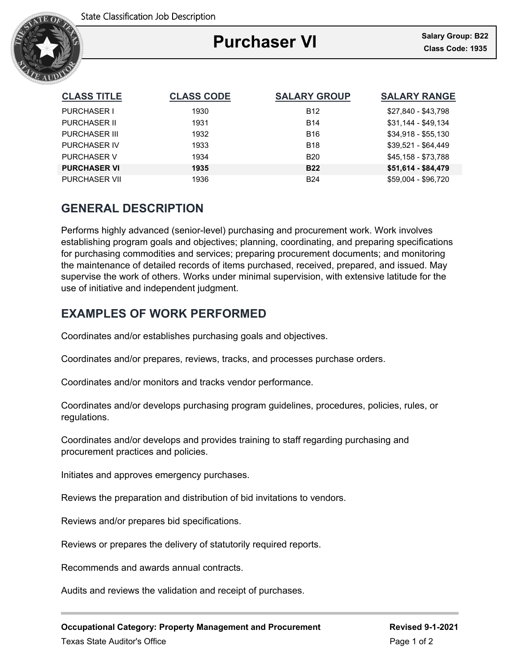

### Ξ **Purchaser VI**

| <b>CLASS TITLE</b>   | <b>CLASS CODE</b> | <b>SALARY GROUP</b> | <b>SALARY RANGE</b> |
|----------------------|-------------------|---------------------|---------------------|
| <b>PURCHASER I</b>   | 1930              | <b>B12</b>          | \$27,840 - \$43,798 |
| <b>PURCHASER II</b>  | 1931              | <b>B14</b>          | \$31,144 - \$49,134 |
| PURCHASER III        | 1932              | <b>B16</b>          | $$34,918 - $55,130$ |
| <b>PURCHASER IV</b>  | 1933              | <b>B18</b>          | $$39.521 - $64.449$ |
| <b>PURCHASER V</b>   | 1934              | <b>B20</b>          | \$45.158 - \$73.788 |
| <b>PURCHASER VI</b>  | 1935              | <b>B22</b>          | \$51,614 - \$84,479 |
| <b>PURCHASER VII</b> | 1936              | <b>B24</b>          | \$59.004 - \$96.720 |

## **GENERAL DESCRIPTION**

Performs highly advanced (senior-level) purchasing and procurement work. Work involves establishing program goals and objectives; planning, coordinating, and preparing specifications for purchasing commodities and services; preparing procurement documents; and monitoring the maintenance of detailed records of items purchased, received, prepared, and issued. May supervise the work of others. Works under minimal supervision, with extensive latitude for the use of initiative and independent judgment.

# **EXAMPLES OF WORK PERFORMED**

Coordinates and/or establishes purchasing goals and objectives.

Coordinates and/or prepares, reviews, tracks, and processes purchase orders.

Coordinates and/or monitors and tracks vendor performance.

Coordinates and/or develops purchasing program guidelines, procedures, policies, rules, or regulations.

Coordinates and/or develops and provides training to staff regarding purchasing and procurement practices and policies.

Initiates and approves emergency purchases.

Reviews the preparation and distribution of bid invitations to vendors.

Reviews and/or prepares bid specifications.

Reviews or prepares the delivery of statutorily required reports.

Recommends and awards annual contracts.

Audits and reviews the validation and receipt of purchases.

**Occupational Category: Property Management and Procurement Revised 9-1-2021**

Texas State Auditor's Office **Page 1 of 2** and 2